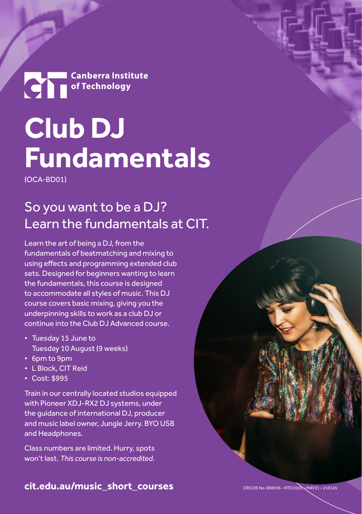**Canberra Institute** 

## **Club DJ Fundamentals**

(OCA-BD01)

### So you want to be a DJ? Learn the fundamentals at CIT.

Learn the art of being a DJ, from the fundamentals of beatmatching and mixing to using effects and programming extended club sets. Designed for beginners wanting to learn the fundamentals, this course is designed to accommodate all styles of music. This DJ course covers basic mixing, giving you the underpinning skills to work as a club DJ or continue into the Club DJ Advanced course.

- Tuesday 15 June to Tuesday 10 August (9 weeks)
- 6pm to 9pm
- L Block, CIT Reid
- Cost: \$995

Train in our centrally located studios equipped with Pioneer XDJ-RX2 DJ systems, under the guidance of international DJ, producer and music label owner, Jungle Jerry. BYO USB and Headphones.

Class numbers are limited. Hurry, spots won't last. *This course is non-accredited*.

**[cit.edu.au/music\\_short\\_courses](https://cit.edu.au/courses/creative/music/music_short_courses)**

CRICOS No. 00001K – RTO 0101 – MAY21 – 210145